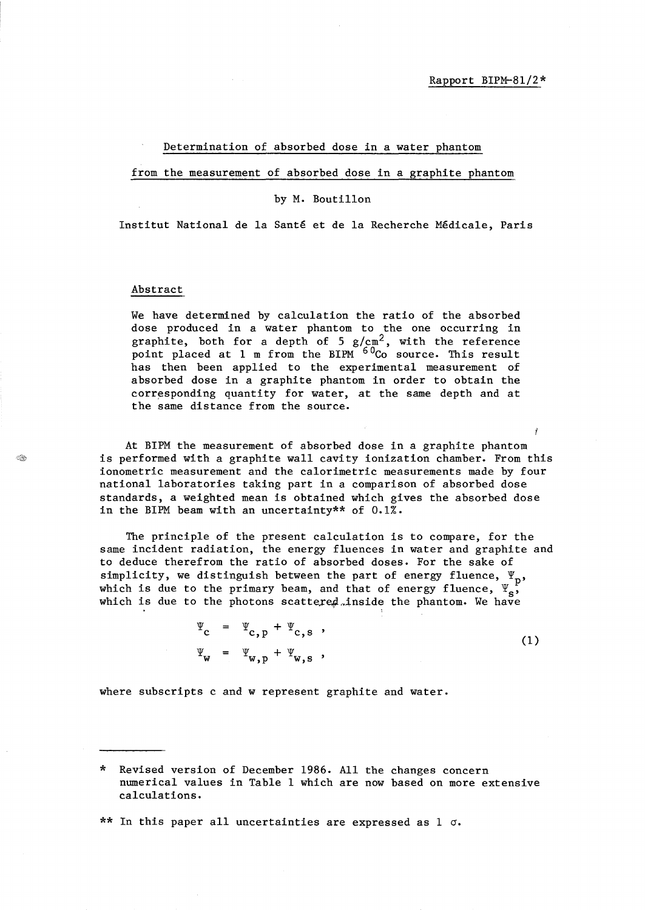Ĭ

## Determination of absorbed dose in a water phantom

from the measurement of absorbed dose in a graphite phantom

## by M. Boutillon

Institut National de la Sante et de la Recherche Medicale, Paris

## Abstract

We have determined by calculation the ratio of the absorbed dose produced in a water phantom to the one occurring in graphite, both for a depth of 5  $g/cm^2$ , with the reference point placed at 1 m from the BIPM <sup>60</sup>Co source. This result has then been applied to the experimental measurement of absorbed dose in a graphite phantom in order to obtain the corresponding quantity for water, at the same depth and at the same distance from the source.

At BIPM the measurement of absorbed dose in a graphite phantom is performed with a graphite wall cavity ionization chamber. From this ionometric measurement and the calorimetric measurements made by four national laboratories taking part in a comparison of absorbed dose standards, a weighted mean is obtained which gives the absorbed dose in the BIPM beam with an uncertainty\*\* of 0.1%.

The principle of the present calculation is to compare, for the same incident radiation, the energy fluences in water and graphite and to deduce therefrom the ratio of absorbed doses. For the sake of simplicity, we distinguish between the part of energy fluence,  $\Psi_p$ , which is due to the primary beam, and that of energy fluence,  $\Psi_{s}^{F}$ which is due to the photons scattered inside the phantom. We have

$$
\Psi_{\mathbf{c}} = \Psi_{\mathbf{c},\mathbf{p}} + \Psi_{\mathbf{c},\mathbf{s}} ,
$$
\n
$$
\Psi_{\mathbf{w}} = \Psi_{\mathbf{w},\mathbf{p}} + \Psi_{\mathbf{w},\mathbf{s}} ,
$$
\n(1)

where subscripts c and w represent graphite and water.

\*\* In this paper all uncertainties are expressed as  $1 \sigma$ .

<sup>\*</sup> Revised version of December 1986. All the changes concern numerical values in Table 1 which are now based on more extensive calculations.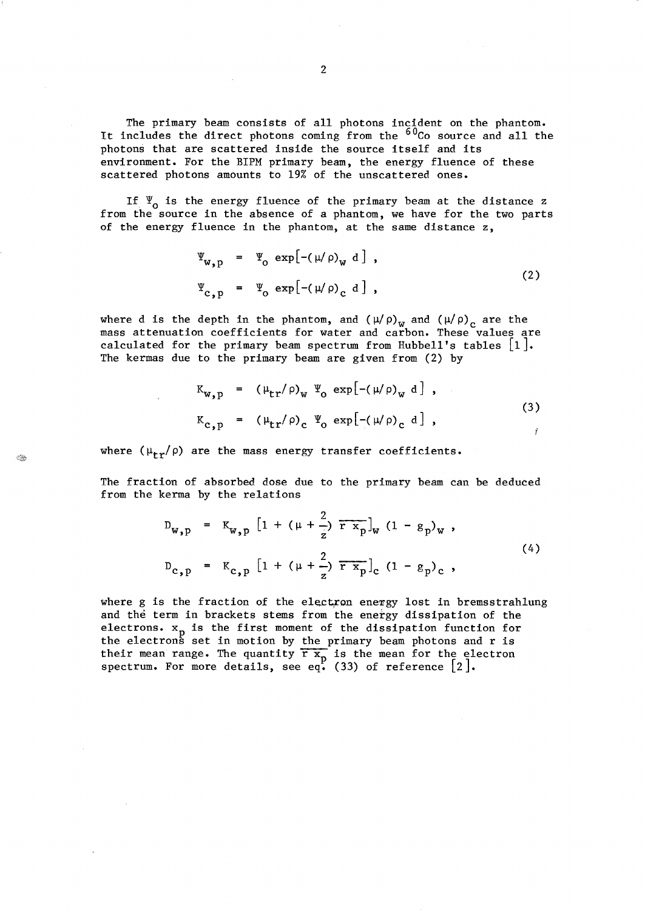The primary beam consists of all photons incident on the phantom. It includes the direct photons coming from the  $60<sub>CO</sub>$  source and all the photons that are scattered inside the source itself and its environment. For the BIPM primary beam, the energy fluence of these scattered photons amounts to 19% of the unscattered ones.

If  $\Psi_0$  is the energy fluence of the primary beam at the distance z from the source in the absence of a phantom, we have for the two parts of the energy fluence in the phantom, at the same distance z,

$$
\Psi_{\mathbf{w},\mathbf{p}} = \Psi_{\mathbf{o}} \exp[-(\mu/\rho)_{\mathbf{w}} \mathbf{d}],
$$
\n
$$
\Psi_{\mathbf{c},\mathbf{p}} = \Psi_{\mathbf{o}} \exp[-(\mu/\rho)_{\mathbf{c}} \mathbf{d}],
$$
\n(2)

where d is the depth in the phantom, and  $(\mu/\rho)_{\rm w}$  and  $(\mu/\rho)_{\rm c}$  are the mass attenuation coefficients for water and carbon. These values are calculated for the primary beam spectrum from Hubbell's tables  $|1|$ . The kermas due to the primary beam are given from (2) by

$$
K_{w, p} = (\mu_{tr}/\rho)_{w} \Psi_{o} exp[-(\mu/\rho)_{w} d],
$$
  
\n
$$
K_{c, p} = (\mu_{tr}/\rho)_{c} \Psi_{o} exp[-(\mu/\rho)_{c} d],
$$
\n(3)

where  $(\mu_{\text{tr}}/\rho)$  are the mass energy transfer coefficients.

The fraction of absorbed dose due to the primary beam can be deduced from the kerma by the relations

$$
D_{w, p} = K_{w, p} \left[ 1 + (\mu + \frac{2}{z}) \overline{r x_{p}} \right]_{w} (1 - g_{p})_{w},
$$
  
\n
$$
D_{c, p} = K_{c, p} \left[ 1 + (\mu + \frac{2}{z}) \overline{r x_{p}} \right]_{c} (1 - g_{p})_{c},
$$
\n(4)

where g is the fraction of the electron energy lost in bremsstrahlung and the term in brackets stems from the energy dissipation of the electrons.  $x_p$  is the first moment of the dissipation function for the electrons set in motion by the primary beam photons and r is their mean range. The quantity  $\overline{r} \overline{x_n}$  is the mean for the electron spectrum. For more details, see eq. (33) of reference  $[2]$ .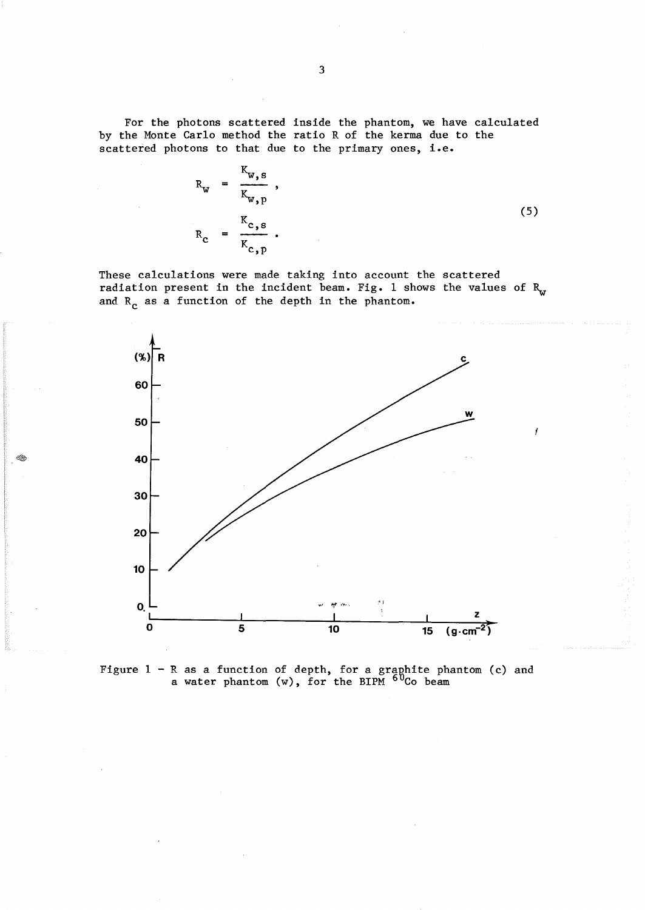For the photons scattered inside the phantom, we have calculated by the Monte Carlo method the ratio R of the kerma due to the scattered photons to that due to the primary ones, i.e.

$$
R_{w} = \frac{K_{w,s}}{K_{w,p}},
$$
  
\n
$$
R_{c} = \frac{K_{c,s}}{K_{c,p}}.
$$
 (5)

These calculations were made taking into account the scattered radiation present in the incident beam. Fig. 1 shows the values of  $R_w$ and  $R_c$  as a function of the depth in the phantom.



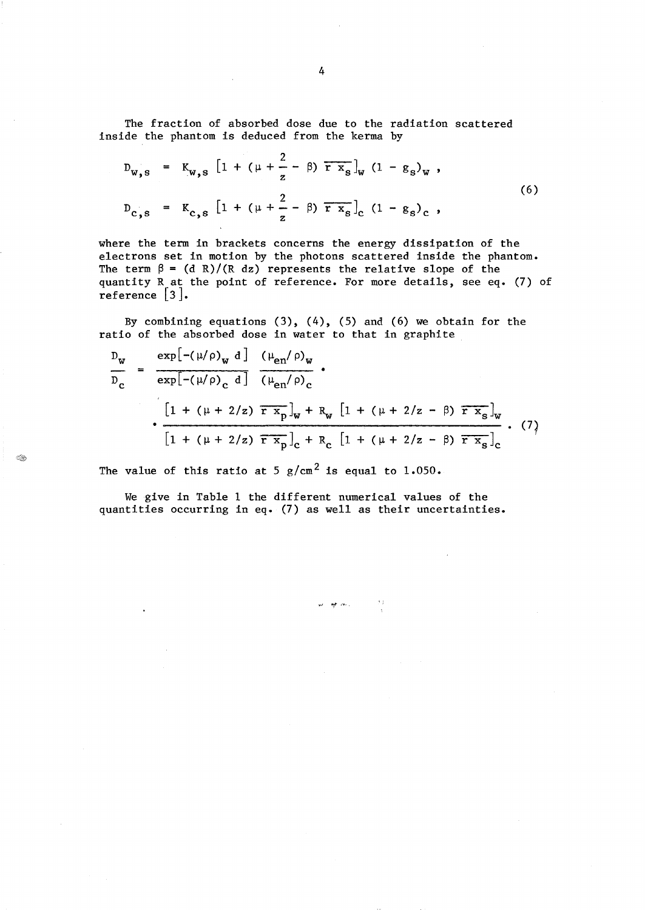The fraction of absorbed dose due to the radiation scattered inside the phantom is deduced from the kerma by

$$
D_{w,s} = K_{w,s} \left[ 1 + (\mu + \frac{2}{z} - \beta) \overline{r} \overline{x}_{s} \right]_{w} (1 - g_{s})_{w},
$$
  
\n
$$
D_{c,s} = K_{c,s} \left[ 1 + (\mu + \frac{2}{z} - \beta) \overline{r} \overline{x}_{s} \right]_{c} (1 - g_{s})_{c},
$$
  
\n(6)

where the term in brackets concerns the energy dissipation of the electrons set in motion by the photons scattered inside the phantom. The term  $\beta = (d \ R)/(R \ dz)$  represents the relative slope of the quantity R at the point of reference. For more details, see eq. (7) of reference [3].

By combining equations  $(3)$ ,  $(4)$ ,  $(5)$  and  $(6)$  we obtain for the ratio of the absorbed dose in water to that in graphite

$$
\frac{D_{w}}{D_{c}} = \frac{\exp[-(\mu/\rho)_{w} d] (\mu_{en}/\rho)_{w}}{\exp[-(\mu/\rho)_{c} d]} \frac{(\mu_{en}/\rho)_{w}}{(\mu_{en}/\rho)_{c}} \cdot
$$
\n
$$
\frac{[1 + (\mu + 2/z) \overline{r x_{p}}]_{w} + R_{w} [1 + (\mu + 2/z - \beta) \overline{r x_{s}}]_{w}}{[1 + (\mu + 2/z) \overline{r x_{p}}]_{c} + R_{c} [1 + (\mu + 2/z - \beta) \overline{r x_{s}}]_{c}} \cdot (7)
$$

se <del>op</del> als l

 $\sim 2.1$ 

The value of this ratio at 5  $g/cm<sup>2</sup>$  is equal to 1.050.

 $\mathbb{Q}_0$ 

We give in Table 1 the different numerical values of the quantities occurring in eq. (7) as well as their uncertainties.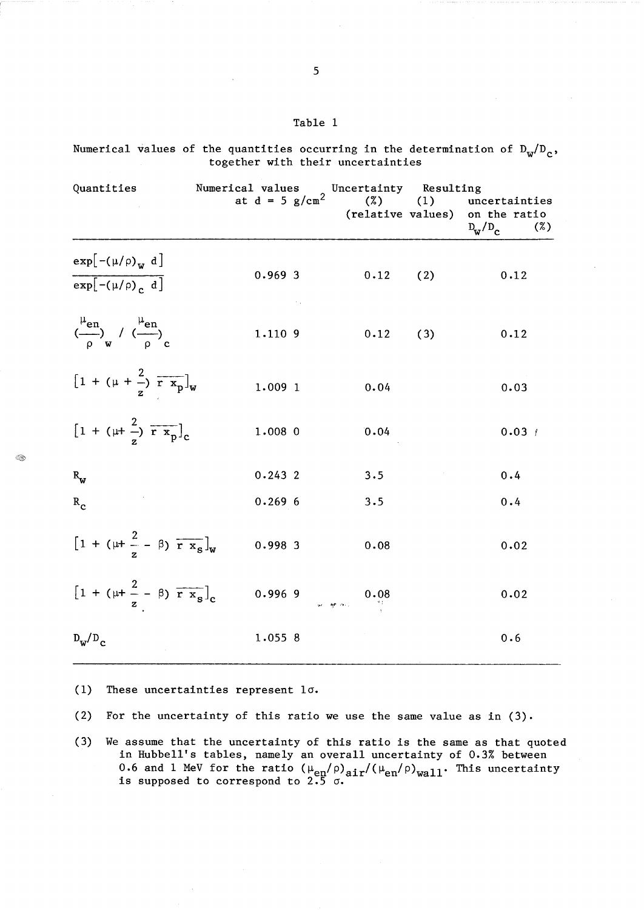| ٠<br>. .<br>۰.<br>۰.<br>v |  |
|---------------------------|--|
|---------------------------|--|

Quantities Mumerical values Concertainty Resulting at  $d = 5 g/cm<sup>2</sup>$  (%) (1) uncertainties (%) (1) uncertainties<br>(relative values) on the ratio<br> $D_{\rm rz}/D_{\rm c}$  (%)  $D_{\rm w}/D_{\rm c}$  $\exp[-(\mu/\rho)_w \ d]$ 0.969 3  $0.12$  ( 2)  $0.12$  $\sqrt{\exp[-(\mu/\rho)]^2}$  $\left(\frac{\mu_{\text{en}}}{\rho}\right)_{\text{w}}$  /  $\left(\frac{\mu_{\text{en}}}{\rho}\right)_{\text{c}}$ 1.110 9  $0.12$  ( 3)  $0.12$  $\left[1 + (\mu + \frac{2}{r}) \overline{r} \overline{x_p}\right]_w$ 1.009 1 0.04 0.03  $\left[1 + (\mu + \frac{2}{r}) \overline{r x_p}\right]_c$ 1.008 0  $0.04$   $0.03$  t 0.243 2 3.5 0.4  $R_{\mathbf{w}}$ 0.269 6  $R_{c}$ 3.5 0.4  $\left[1 + (\mu + \frac{2}{z} - \beta) \overline{r x_s}\right]_w$ 0.998 3 0.08 0.02  $[1 + (\mu + \frac{2}{z} - \beta) \overline{r x_s}]_c$ 2 0.996 9 0.08 0.02  $D_w/D_c$ 1.055 8 0.6

Numerical values of the quantities occurring in the determination of  $D_w/D_c$ , together with their uncertainties

(1) These uncertainties represent *la.* 

(2) For the uncertainty of this ratio we use the same value as in  $(3)$ .

(3) We assume that the uncertainty of this ratio is the same as that quoted in Hubbell's tables, namely an overall uncertainty of 0.3% between 0.6 and 1 MeV for the ratio  $(\mu_{en}/\rho)_{air}/(\mu_{en}/\rho)_{wall}$ . This uncertainty is supposed to correspond to 2.5 *a.* 

Q.